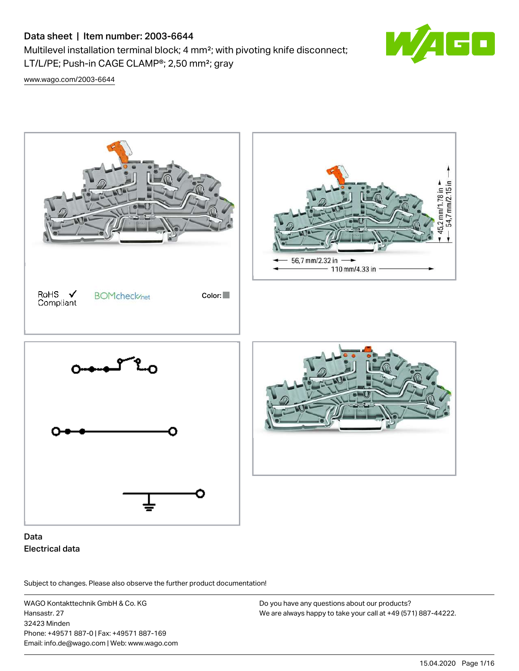# Data sheet | Item number: 2003-6644

Multilevel installation terminal block; 4 mm²; with pivoting knife disconnect; LT/L/PE; Push-in CAGE CLAMP®; 2,50 mm²; gray



[www.wago.com/2003-6644](http://www.wago.com/2003-6644)



## Data Electrical data

Subject to changes. Please also observe the further product documentation!

WAGO Kontakttechnik GmbH & Co. KG Hansastr. 27 32423 Minden Phone: +49571 887-0 | Fax: +49571 887-169 Email: info.de@wago.com | Web: www.wago.com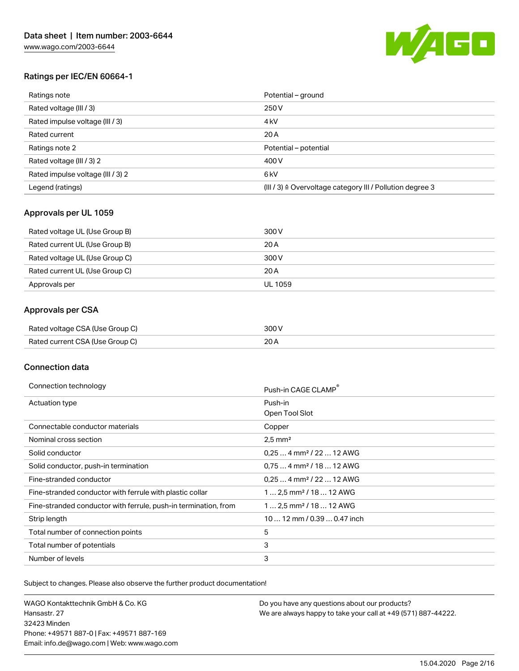

## Ratings per IEC/EN 60664-1

| Ratings note                      | Potential – ground                                                   |
|-----------------------------------|----------------------------------------------------------------------|
| Rated voltage (III / 3)           | 250 V                                                                |
| Rated impulse voltage (III / 3)   | 4 <sub>k</sub> V                                                     |
| Rated current                     | 20 A                                                                 |
| Ratings note 2                    | Potential – potential                                                |
| Rated voltage (III / 3) 2         | 400 V                                                                |
| Rated impulse voltage (III / 3) 2 | 6 <sub>kV</sub>                                                      |
| Legend (ratings)                  | (III / 3) $\triangleq$ Overvoltage category III / Pollution degree 3 |

### Approvals per UL 1059

| Rated voltage UL (Use Group B) | 300 V   |
|--------------------------------|---------|
| Rated current UL (Use Group B) | 20 A    |
| Rated voltage UL (Use Group C) | 300 V   |
| Rated current UL (Use Group C) | 20 A    |
| Approvals per                  | UL 1059 |

## Approvals per CSA

| Rated voltage CSA (Use Group C) | 300 V |
|---------------------------------|-------|
| Rated current CSA (Use Group C) | 20 A  |

#### Connection data

| Connection technology                                           | Push-in CAGE CLAMP <sup>®</sup>      |
|-----------------------------------------------------------------|--------------------------------------|
| Actuation type                                                  | Push-in                              |
|                                                                 | Open Tool Slot                       |
| Connectable conductor materials                                 | Copper                               |
| Nominal cross section                                           | $2.5$ mm <sup>2</sup>                |
| Solid conductor                                                 | $0.254$ mm <sup>2</sup> / 22  12 AWG |
| Solid conductor, push-in termination                            | $0.754$ mm <sup>2</sup> / 18  12 AWG |
| Fine-stranded conductor                                         | $0.254$ mm <sup>2</sup> / 22  12 AWG |
| Fine-stranded conductor with ferrule with plastic collar        | $12.5$ mm <sup>2</sup> / 18  12 AWG  |
| Fine-stranded conductor with ferrule, push-in termination, from | $12.5$ mm <sup>2</sup> / 18  12 AWG  |
| Strip length                                                    | 10  12 mm / 0.39  0.47 inch          |
| Total number of connection points                               | 5                                    |
| Total number of potentials                                      | 3                                    |
| Number of levels                                                | 3                                    |

Subject to changes. Please also observe the further product documentation!

WAGO Kontakttechnik GmbH & Co. KG Hansastr. 27 32423 Minden Phone: +49571 887-0 | Fax: +49571 887-169 Email: info.de@wago.com | Web: www.wago.com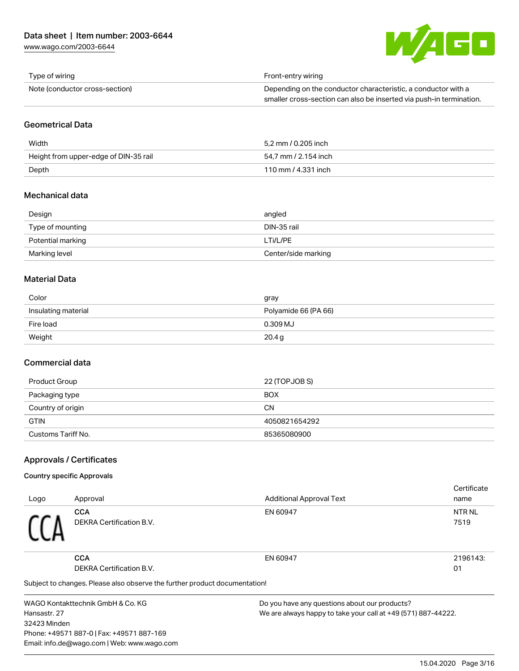[www.wago.com/2003-6644](http://www.wago.com/2003-6644)



| Type of wiring                 | Front-entry wiring                                                  |
|--------------------------------|---------------------------------------------------------------------|
| Note (conductor cross-section) | Depending on the conductor characteristic, a conductor with a       |
|                                | smaller cross-section can also be inserted via push-in termination. |

#### Geometrical Data

| Width                                 | 5.2 mm / 0.205 inch  |
|---------------------------------------|----------------------|
| Height from upper-edge of DIN-35 rail | 54.7 mm / 2.154 inch |
| Depth                                 | 110 mm / 4.331 inch  |

## Mechanical data

| Design            | angled              |
|-------------------|---------------------|
| Type of mounting  | DIN-35 rail         |
| Potential marking | LTi/L/PE            |
| Marking level     | Center/side marking |

## Material Data

| Color               | gray                 |
|---------------------|----------------------|
| Insulating material | Polyamide 66 (PA 66) |
| Fire load           | 0.309 MJ             |
| Weight              | 20.4 g               |

## Commercial data

| Product Group      | 22 (TOPJOB S) |
|--------------------|---------------|
| Packaging type     | <b>BOX</b>    |
| Country of origin  | <b>CN</b>     |
| <b>GTIN</b>        | 4050821654292 |
| Customs Tariff No. | 85365080900   |

### Approvals / Certificates

### Country specific Approvals

32423 Minden

|              |                                                                            |                                               | Certificate                                                   |  |
|--------------|----------------------------------------------------------------------------|-----------------------------------------------|---------------------------------------------------------------|--|
| Logo         | Approval                                                                   | <b>Additional Approval Text</b>               | name                                                          |  |
|              | <b>CCA</b>                                                                 | EN 60947                                      | <b>NTR NL</b>                                                 |  |
|              | DEKRA Certification B.V.                                                   |                                               | 7519                                                          |  |
|              |                                                                            |                                               |                                                               |  |
|              |                                                                            |                                               |                                                               |  |
|              | <b>CCA</b>                                                                 | EN 60947                                      | 2196143:                                                      |  |
|              | <b>DEKRA Certification B.V.</b>                                            |                                               | 01                                                            |  |
|              | Subject to changes. Please also observe the further product documentation! |                                               |                                                               |  |
|              | WAGO Kontakttechnik GmbH & Co. KG                                          | Do you have any questions about our products? |                                                               |  |
| Hansastr, 27 |                                                                            |                                               | We are always happy to take your call at +49 (571) 887-44222. |  |

Phone: +49571 887-0 | Fax: +49571 887-169 Email: info.de@wago.com | Web: www.wago.com We are always happy to take your call at +49 (571) 887-44222.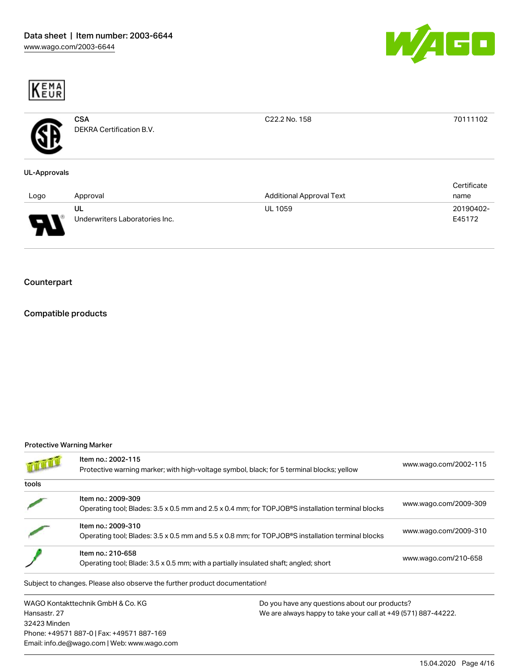



| <b>CSA</b><br>DEKRA Certification B.V. | C22.2 No. 158                   | 70111102                        |
|----------------------------------------|---------------------------------|---------------------------------|
|                                        |                                 | Certificate                     |
|                                        |                                 | name                            |
| UL<br>Underwriters Laboratories Inc.   | <b>UL 1059</b>                  | 20190402-<br>E45172             |
|                                        | <b>UL-Approvals</b><br>Approval | <b>Additional Approval Text</b> |

## Counterpart

## Compatible products

#### Protective Warning Marker

Phone: +49571 887-0 | Fax: +49571 887-169 Email: info.de@wago.com | Web: www.wago.com

|                                                                   | Item no.: 2002-115<br>Protective warning marker; with high-voltage symbol, black; for 5 terminal blocks; yellow        |                                                                                                                | www.wago.com/2002-115 |
|-------------------------------------------------------------------|------------------------------------------------------------------------------------------------------------------------|----------------------------------------------------------------------------------------------------------------|-----------------------|
| tools                                                             |                                                                                                                        |                                                                                                                |                       |
|                                                                   | Item no.: 2009-309<br>Operating tool; Blades: 3.5 x 0.5 mm and 2.5 x 0.4 mm; for TOPJOB®S installation terminal blocks |                                                                                                                | www.wago.com/2009-309 |
|                                                                   | Item no.: 2009-310<br>Operating tool; Blades: 3.5 x 0.5 mm and 5.5 x 0.8 mm; for TOPJOB®S installation terminal blocks |                                                                                                                | www.wago.com/2009-310 |
|                                                                   | Item no.: 210-658<br>Operating tool; Blade: 3.5 x 0.5 mm; with a partially insulated shaft; angled; short              |                                                                                                                | www.wago.com/210-658  |
|                                                                   | Subject to changes. Please also observe the further product documentation!                                             |                                                                                                                |                       |
| WAGO Kontakttechnik GmbH & Co. KG<br>Hansastr, 27<br>32423 Minden |                                                                                                                        | Do you have any questions about our products?<br>We are always happy to take your call at +49 (571) 887-44222. |                       |

15.04.2020 Page 4/16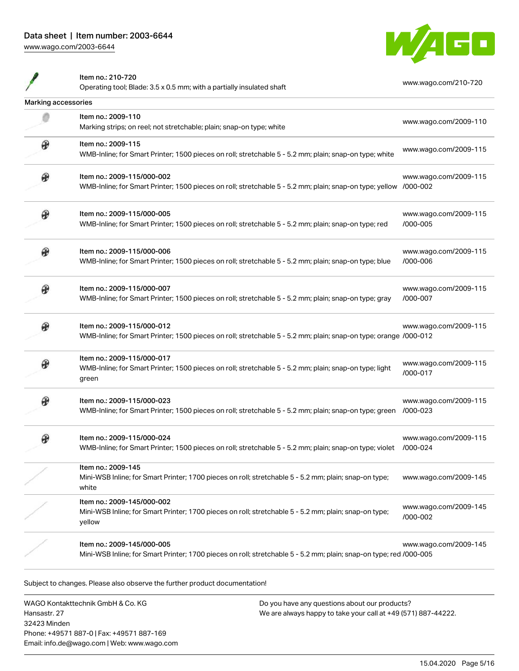

Item no.: 210-720

I

|                     | Operating tool; Blade: 3.5 x 0.5 mm; with a partially insulated shaft                                                                            | www.wago.com/210-720              |
|---------------------|--------------------------------------------------------------------------------------------------------------------------------------------------|-----------------------------------|
| Marking accessories |                                                                                                                                                  |                                   |
|                     | Item no.: 2009-110<br>Marking strips; on reel; not stretchable; plain; snap-on type; white                                                       | www.wago.com/2009-110             |
| ⊕                   | Item no.: 2009-115<br>WMB-Inline; for Smart Printer; 1500 pieces on roll; stretchable 5 - 5.2 mm; plain; snap-on type; white                     | www.wago.com/2009-115             |
| ⊕                   | Item no.: 2009-115/000-002<br>WMB-Inline; for Smart Printer; 1500 pieces on roll; stretchable 5 - 5.2 mm; plain; snap-on type; yellow /000-002   | www.wago.com/2009-115             |
| ⊛                   | Item no.: 2009-115/000-005<br>WMB-Inline; for Smart Printer; 1500 pieces on roll; stretchable 5 - 5.2 mm; plain; snap-on type; red               | www.wago.com/2009-115<br>/000-005 |
| ⊕                   | Item no.: 2009-115/000-006<br>WMB-Inline; for Smart Printer; 1500 pieces on roll; stretchable 5 - 5.2 mm; plain; snap-on type; blue              | www.wago.com/2009-115<br>/000-006 |
| ⊛                   | Item no.: 2009-115/000-007<br>WMB-Inline; for Smart Printer; 1500 pieces on roll; stretchable 5 - 5.2 mm; plain; snap-on type; gray              | www.wago.com/2009-115<br>/000-007 |
| ⊛                   | Item no.: 2009-115/000-012<br>WMB-Inline; for Smart Printer; 1500 pieces on roll; stretchable 5 - 5.2 mm; plain; snap-on type; orange /000-012   | www.wago.com/2009-115             |
|                     | Item no.: 2009-115/000-017<br>WMB-Inline; for Smart Printer; 1500 pieces on roll; stretchable 5 - 5.2 mm; plain; snap-on type; light<br>green    | www.wago.com/2009-115<br>/000-017 |
|                     | Item no.: 2009-115/000-023<br>WMB-Inline; for Smart Printer; 1500 pieces on roll; stretchable 5 - 5.2 mm; plain; snap-on type; green             | www.wago.com/2009-115<br>/000-023 |
|                     | Item no.: 2009-115/000-024<br>WMB-Inline; for Smart Printer; 1500 pieces on roll; stretchable 5 - 5.2 mm; plain; snap-on type; violet            | www.wago.com/2009-115<br>/000-024 |
|                     | Item no.: 2009-145<br>Mini-WSB Inline; for Smart Printer; 1700 pieces on roll; stretchable 5 - 5.2 mm; plain; snap-on type;<br>white             | www.wago.com/2009-145             |
|                     | Item no.: 2009-145/000-002<br>Mini-WSB Inline; for Smart Printer; 1700 pieces on roll; stretchable 5 - 5.2 mm; plain; snap-on type;<br>yellow    | www.wago.com/2009-145<br>/000-002 |
|                     | Item no.: 2009-145/000-005<br>Mini-WSB Inline; for Smart Printer; 1700 pieces on roll; stretchable 5 - 5.2 mm; plain; snap-on type; red /000-005 | www.wago.com/2009-145             |

Subject to changes. Please also observe the further product documentation!

WAGO Kontakttechnik GmbH & Co. KG Hansastr. 27 32423 Minden Phone: +49571 887-0 | Fax: +49571 887-169 Email: info.de@wago.com | Web: www.wago.com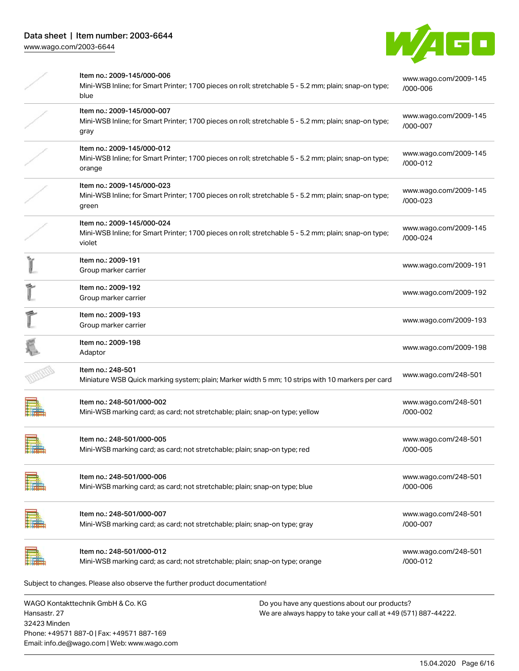

|              | Item no.: 2009-145/000-006<br>Mini-WSB Inline; for Smart Printer; 1700 pieces on roll; stretchable 5 - 5.2 mm; plain; snap-on type;<br>blue   |                                                                                                                | www.wago.com/2009-145<br>/000-006 |
|--------------|-----------------------------------------------------------------------------------------------------------------------------------------------|----------------------------------------------------------------------------------------------------------------|-----------------------------------|
|              | Item no.: 2009-145/000-007<br>Mini-WSB Inline; for Smart Printer; 1700 pieces on roll; stretchable 5 - 5.2 mm; plain; snap-on type;<br>gray   |                                                                                                                | www.wago.com/2009-145<br>/000-007 |
|              | Item no.: 2009-145/000-012<br>Mini-WSB Inline; for Smart Printer; 1700 pieces on roll; stretchable 5 - 5.2 mm; plain; snap-on type;<br>orange |                                                                                                                | www.wago.com/2009-145<br>/000-012 |
|              | Item no.: 2009-145/000-023<br>Mini-WSB Inline; for Smart Printer; 1700 pieces on roll; stretchable 5 - 5.2 mm; plain; snap-on type;<br>green  |                                                                                                                | www.wago.com/2009-145<br>/000-023 |
|              | Item no.: 2009-145/000-024<br>Mini-WSB Inline; for Smart Printer; 1700 pieces on roll; stretchable 5 - 5.2 mm; plain; snap-on type;<br>violet |                                                                                                                | www.wago.com/2009-145<br>/000-024 |
|              | Item no.: 2009-191<br>Group marker carrier                                                                                                    |                                                                                                                | www.wago.com/2009-191             |
|              | Item no.: 2009-192<br>Group marker carrier                                                                                                    |                                                                                                                | www.wago.com/2009-192             |
|              | Item no.: 2009-193<br>Group marker carrier                                                                                                    |                                                                                                                | www.wago.com/2009-193             |
|              | Item no.: 2009-198<br>Adaptor                                                                                                                 |                                                                                                                | www.wago.com/2009-198             |
|              | Item no.: 248-501<br>Miniature WSB Quick marking system; plain; Marker width 5 mm; 10 strips with 10 markers per card                         |                                                                                                                | www.wago.com/248-501              |
|              | Item no.: 248-501/000-002<br>Mini-WSB marking card; as card; not stretchable; plain; snap-on type; yellow                                     |                                                                                                                | www.wago.com/248-501<br>/000-002  |
|              | Item no.: 248-501/000-005<br>Mini-WSB marking card; as card; not stretchable; plain; snap-on type; red                                        |                                                                                                                | www.wago.com/248-501<br>/000-005  |
|              | Item no.: 248-501/000-006<br>Mini-WSB marking card; as card; not stretchable; plain; snap-on type; blue                                       |                                                                                                                | www.wago.com/248-501<br>/000-006  |
|              | Item no.: 248-501/000-007<br>Mini-WSB marking card; as card; not stretchable; plain; snap-on type; gray                                       |                                                                                                                | www.wago.com/248-501<br>/000-007  |
|              | Item no.: 248-501/000-012<br>Mini-WSB marking card; as card; not stretchable; plain; snap-on type; orange                                     |                                                                                                                | www.wago.com/248-501<br>/000-012  |
|              | Subject to changes. Please also observe the further product documentation!                                                                    |                                                                                                                |                                   |
| Hansastr, 27 | WAGO Kontakttechnik GmbH & Co. KG                                                                                                             | Do you have any questions about our products?<br>We are always happy to take your call at +49 (571) 887-44222. |                                   |

32423 Minden Phone: +49571 887-0 | Fax: +49571 887-169 Email: info.de@wago.com | Web: www.wago.com We are always happy to take your call at +49 (571) 887-44222.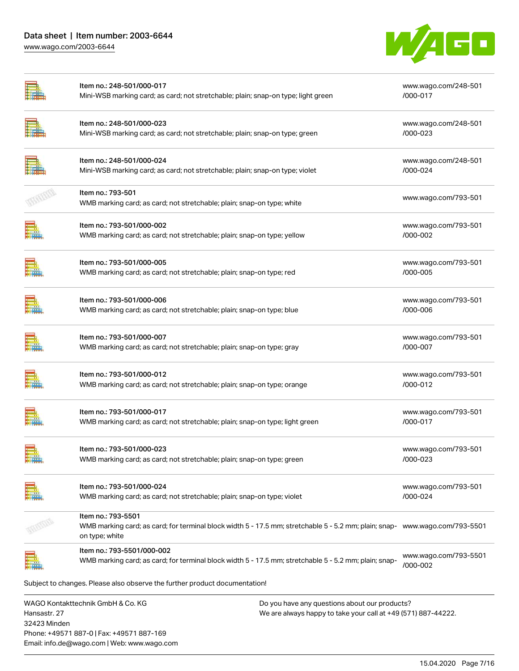## Data sheet | Item number: 2003-6644 [www.wago.com/2003-6644](http://www.wago.com/2003-6644)

32423 Minden

Phone: +49571 887-0 | Fax: +49571 887-169 Email: info.de@wago.com | Web: www.wago.com



|                                                   | Item no.: 248-501/000-017<br>Mini-WSB marking card; as card; not stretchable; plain; snap-on type; light green                                                      |                                                                                                                | www.wago.com/248-501<br>/000-017  |  |
|---------------------------------------------------|---------------------------------------------------------------------------------------------------------------------------------------------------------------------|----------------------------------------------------------------------------------------------------------------|-----------------------------------|--|
|                                                   | Item no.: 248-501/000-023<br>Mini-WSB marking card; as card; not stretchable; plain; snap-on type; green                                                            |                                                                                                                | www.wago.com/248-501<br>/000-023  |  |
|                                                   | Item no.: 248-501/000-024<br>Mini-WSB marking card; as card; not stretchable; plain; snap-on type; violet                                                           |                                                                                                                | www.wago.com/248-501<br>/000-024  |  |
|                                                   | Item no.: 793-501<br>WMB marking card; as card; not stretchable; plain; snap-on type; white                                                                         |                                                                                                                | www.wago.com/793-501              |  |
|                                                   | Item no.: 793-501/000-002<br>WMB marking card; as card; not stretchable; plain; snap-on type; yellow                                                                |                                                                                                                | www.wago.com/793-501<br>/000-002  |  |
|                                                   | Item no.: 793-501/000-005<br>WMB marking card; as card; not stretchable; plain; snap-on type; red                                                                   |                                                                                                                | www.wago.com/793-501<br>/000-005  |  |
|                                                   | Item no.: 793-501/000-006<br>WMB marking card; as card; not stretchable; plain; snap-on type; blue                                                                  |                                                                                                                | www.wago.com/793-501<br>/000-006  |  |
|                                                   | Item no.: 793-501/000-007<br>WMB marking card; as card; not stretchable; plain; snap-on type; gray                                                                  |                                                                                                                | www.wago.com/793-501<br>/000-007  |  |
|                                                   | Item no.: 793-501/000-012<br>WMB marking card; as card; not stretchable; plain; snap-on type; orange                                                                |                                                                                                                | www.wago.com/793-501<br>/000-012  |  |
|                                                   | Item no.: 793-501/000-017<br>WMB marking card; as card; not stretchable; plain; snap-on type; light green                                                           |                                                                                                                | www.wago.com/793-501<br>/000-017  |  |
|                                                   | Item no.: 793-501/000-023<br>WMB marking card; as card; not stretchable; plain; snap-on type; green                                                                 |                                                                                                                | www.wago.com/793-501<br>/000-023  |  |
|                                                   | Item no.: 793-501/000-024<br>WMB marking card; as card; not stretchable; plain; snap-on type; violet                                                                |                                                                                                                | www.wago.com/793-501<br>/000-024  |  |
|                                                   | Item no.: 793-5501<br>WMB marking card; as card; for terminal block width 5 - 17.5 mm; stretchable 5 - 5.2 mm; plain; snap- www.wago.com/793-5501<br>on type; white |                                                                                                                |                                   |  |
|                                                   | Item no.: 793-5501/000-002<br>WMB marking card; as card; for terminal block width 5 - 17.5 mm; stretchable 5 - 5.2 mm; plain; snap-                                 |                                                                                                                | www.wago.com/793-5501<br>/000-002 |  |
|                                                   | Subject to changes. Please also observe the further product documentation!                                                                                          |                                                                                                                |                                   |  |
| WAGO Kontakttechnik GmbH & Co. KG<br>Hansastr. 27 |                                                                                                                                                                     | Do you have any questions about our products?<br>We are always happy to take your call at +49 (571) 887-44222. |                                   |  |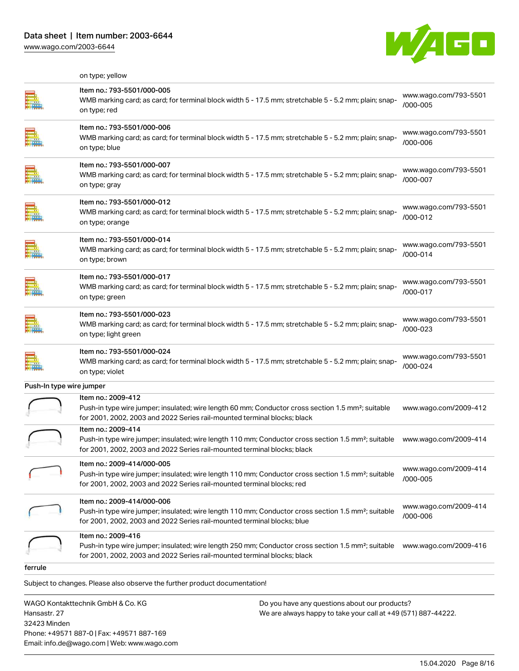

|                          | on type; yellow                                                                                                                                                                                                          |                                   |
|--------------------------|--------------------------------------------------------------------------------------------------------------------------------------------------------------------------------------------------------------------------|-----------------------------------|
|                          | Item no.: 793-5501/000-005<br>WMB marking card; as card; for terminal block width 5 - 17.5 mm; stretchable 5 - 5.2 mm; plain; snap-<br>on type; red                                                                      | www.wago.com/793-5501<br>/000-005 |
|                          | ltem no.: 793-5501/000-006<br>WMB marking card; as card; for terminal block width 5 - 17.5 mm; stretchable 5 - 5.2 mm; plain; snap-<br>on type; blue                                                                     | www.wago.com/793-5501<br>/000-006 |
|                          | Item no.: 793-5501/000-007<br>WMB marking card; as card; for terminal block width 5 - 17.5 mm; stretchable 5 - 5.2 mm; plain; snap-<br>on type; gray                                                                     | www.wago.com/793-5501<br>/000-007 |
|                          | Item no.: 793-5501/000-012<br>WMB marking card; as card; for terminal block width 5 - 17.5 mm; stretchable 5 - 5.2 mm; plain; snap-<br>on type; orange                                                                   | www.wago.com/793-5501<br>/000-012 |
|                          | Item no.: 793-5501/000-014<br>WMB marking card; as card; for terminal block width 5 - 17.5 mm; stretchable 5 - 5.2 mm; plain; snap-<br>on type; brown                                                                    | www.wago.com/793-5501<br>/000-014 |
|                          | Item no.: 793-5501/000-017<br>WMB marking card; as card; for terminal block width 5 - 17.5 mm; stretchable 5 - 5.2 mm; plain; snap-<br>on type; green                                                                    | www.wago.com/793-5501<br>/000-017 |
|                          | ltem no.: 793-5501/000-023<br>WMB marking card; as card; for terminal block width 5 - 17.5 mm; stretchable 5 - 5.2 mm; plain; snap-<br>on type; light green                                                              | www.wago.com/793-5501<br>/000-023 |
|                          | Item no.: 793-5501/000-024<br>WMB marking card; as card; for terminal block width 5 - 17.5 mm; stretchable 5 - 5.2 mm; plain; snap-<br>on type; violet                                                                   | www.wago.com/793-5501<br>/000-024 |
| Push-In type wire jumper |                                                                                                                                                                                                                          |                                   |
|                          | Item no.: 2009-412<br>Push-in type wire jumper; insulated; wire length 60 mm; Conductor cross section 1.5 mm <sup>2</sup> ; suitable<br>for 2001, 2002, 2003 and 2022 Series rail-mounted terminal blocks; black         | www.wago.com/2009-412             |
|                          | Item no.: 2009-414<br>Push-in type wire jumper; insulated; wire length 110 mm; Conductor cross section 1.5 mm <sup>2</sup> ; suitable<br>for 2001, 2002, 2003 and 2022 Series rail-mounted terminal blocks; black        | www.wago.com/2009-414             |
|                          | Item no.: 2009-414/000-005<br>Push-in type wire jumper; insulated; wire length 110 mm; Conductor cross section 1.5 mm <sup>2</sup> ; suitable<br>for 2001, 2002, 2003 and 2022 Series rail-mounted terminal blocks; red  | www.wago.com/2009-414<br>/000-005 |
|                          | Item no.: 2009-414/000-006<br>Push-in type wire jumper; insulated; wire length 110 mm; Conductor cross section 1.5 mm <sup>2</sup> ; suitable<br>for 2001, 2002, 2003 and 2022 Series rail-mounted terminal blocks; blue | www.wago.com/2009-414<br>/000-006 |
|                          | Item no.: 2009-416<br>Push-in type wire jumper; insulated; wire length 250 mm; Conductor cross section 1.5 mm <sup>2</sup> ; suitable<br>for 2001, 2002, 2003 and 2022 Series rail-mounted terminal blocks; black        | www.wago.com/2009-416             |
| ferrule                  |                                                                                                                                                                                                                          |                                   |
|                          | Subject to changes. Please also observe the further product documentation!                                                                                                                                               |                                   |
|                          | WAGO Kontakttechnik GmbH & Co. KG<br>Do you have any questions about our products?                                                                                                                                       |                                   |

WAGO Kontakttechnik GmbH & Co. KG Hansastr. 27 32423 Minden Phone: +49571 887-0 | Fax: +49571 887-169 Email: info.de@wago.com | Web: www.wago.com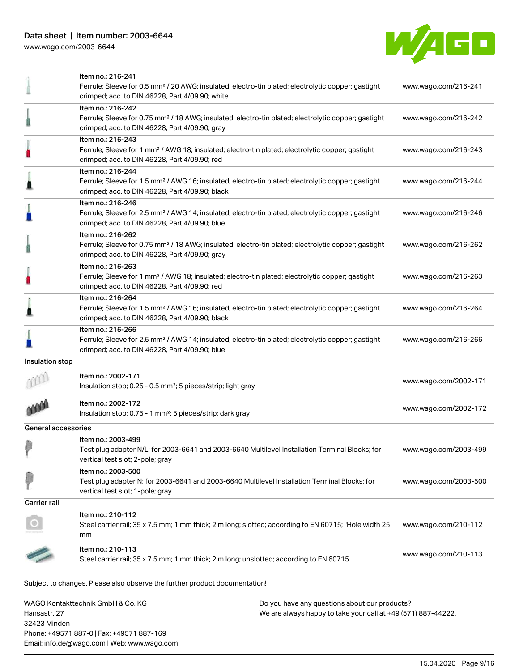

|                     | Item no.: 216-241<br>Ferrule; Sleeve for 0.5 mm <sup>2</sup> / 20 AWG; insulated; electro-tin plated; electrolytic copper; gastight                                                                                                  | www.wago.com/216-241  |
|---------------------|--------------------------------------------------------------------------------------------------------------------------------------------------------------------------------------------------------------------------------------|-----------------------|
|                     | crimped; acc. to DIN 46228, Part 4/09.90; white<br>Item no.: 216-242<br>Ferrule; Sleeve for 0.75 mm <sup>2</sup> / 18 AWG; insulated; electro-tin plated; electrolytic copper; gastight                                              | www.wago.com/216-242  |
|                     | crimped; acc. to DIN 46228, Part 4/09.90; gray<br>Item no.: 216-243<br>Ferrule; Sleeve for 1 mm <sup>2</sup> / AWG 18; insulated; electro-tin plated; electrolytic copper; gastight<br>crimped; acc. to DIN 46228, Part 4/09.90; red | www.wago.com/216-243  |
|                     | Item no.: 216-244<br>Ferrule; Sleeve for 1.5 mm <sup>2</sup> / AWG 16; insulated; electro-tin plated; electrolytic copper; gastight<br>crimped; acc. to DIN 46228, Part 4/09.90; black                                               | www.wago.com/216-244  |
|                     | Item no.: 216-246<br>Ferrule; Sleeve for 2.5 mm <sup>2</sup> / AWG 14; insulated; electro-tin plated; electrolytic copper; gastight<br>crimped; acc. to DIN 46228, Part 4/09.90; blue                                                | www.wago.com/216-246  |
|                     | Item no.: 216-262<br>Ferrule; Sleeve for 0.75 mm <sup>2</sup> / 18 AWG; insulated; electro-tin plated; electrolytic copper; gastight<br>crimped; acc. to DIN 46228, Part 4/09.90; gray                                               | www.wago.com/216-262  |
|                     | Item no.: 216-263<br>Ferrule; Sleeve for 1 mm <sup>2</sup> / AWG 18; insulated; electro-tin plated; electrolytic copper; gastight<br>crimped; acc. to DIN 46228, Part 4/09.90; red                                                   | www.wago.com/216-263  |
|                     | Item no.: 216-264<br>Ferrule; Sleeve for 1.5 mm <sup>2</sup> / AWG 16; insulated; electro-tin plated; electrolytic copper; gastight<br>crimped; acc. to DIN 46228, Part 4/09.90; black                                               | www.wago.com/216-264  |
|                     | Item no.: 216-266<br>Ferrule; Sleeve for 2.5 mm <sup>2</sup> / AWG 14; insulated; electro-tin plated; electrolytic copper; gastight<br>crimped; acc. to DIN 46228, Part 4/09.90; blue                                                | www.wago.com/216-266  |
| Insulation stop     |                                                                                                                                                                                                                                      |                       |
|                     | Item no.: 2002-171<br>Insulation stop; 0.25 - 0.5 mm <sup>2</sup> ; 5 pieces/strip; light gray                                                                                                                                       | www.wago.com/2002-171 |
|                     | Item no.: 2002-172<br>Insulation stop; 0.75 - 1 mm <sup>2</sup> ; 5 pieces/strip; dark gray                                                                                                                                          | www.wago.com/2002-172 |
| General accessories |                                                                                                                                                                                                                                      |                       |
|                     | Item no.: 2003-499<br>Test plug adapter N/L; for 2003-6641 and 2003-6640 Multilevel Installation Terminal Blocks; for<br>vertical test slot; 2-pole; gray                                                                            | www.wago.com/2003-499 |
|                     | Item no.: 2003-500<br>Test plug adapter N; for 2003-6641 and 2003-6640 Multilevel Installation Terminal Blocks; for<br>vertical test slot; 1-pole; gray                                                                              | www.wago.com/2003-500 |
| Carrier rail        |                                                                                                                                                                                                                                      |                       |
|                     | Item no.: 210-112<br>Steel carrier rail; 35 x 7.5 mm; 1 mm thick; 2 m long; slotted; according to EN 60715; "Hole width 25<br>mm                                                                                                     | www.wago.com/210-112  |
|                     | Item no.: 210-113<br>Steel carrier rail; 35 x 7.5 mm; 1 mm thick; 2 m long; unslotted; according to EN 60715                                                                                                                         | www.wago.com/210-113  |
|                     | Subject to changes. Please also observe the further product documentation!                                                                                                                                                           |                       |

WAGO Kontakttechnik GmbH & Co. KG Hansastr. 27 32423 Minden Phone: +49571 887-0 | Fax: +49571 887-169 Email: info.de@wago.com | Web: www.wago.com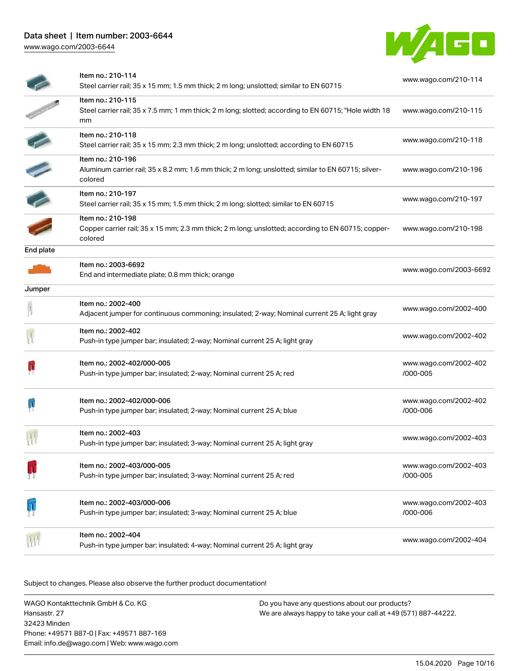

|                          | Item no.: 210-114<br>Steel carrier rail; 35 x 15 mm; 1.5 mm thick; 2 m long; unslotted; similar to EN 60715                         | www.wago.com/210-114              |
|--------------------------|-------------------------------------------------------------------------------------------------------------------------------------|-----------------------------------|
|                          | Item no.: 210-115<br>Steel carrier rail; 35 x 7.5 mm; 1 mm thick; 2 m long; slotted; according to EN 60715; "Hole width 18<br>mm    | www.wago.com/210-115              |
|                          | Item no.: 210-118<br>Steel carrier rail; 35 x 15 mm; 2.3 mm thick; 2 m long; unslotted; according to EN 60715                       | www.wago.com/210-118              |
| $\overline{\phantom{a}}$ | Item no.: 210-196<br>Aluminum carrier rail; 35 x 8.2 mm; 1.6 mm thick; 2 m long; unslotted; similar to EN 60715; silver-<br>colored | www.wago.com/210-196              |
|                          | Item no.: 210-197<br>Steel carrier rail; 35 x 15 mm; 1.5 mm thick; 2 m long; slotted; similar to EN 60715                           | www.wago.com/210-197              |
|                          | Item no.: 210-198<br>Copper carrier rail; 35 x 15 mm; 2.3 mm thick; 2 m long; unslotted; according to EN 60715; copper-<br>colored  | www.wago.com/210-198              |
| End plate                |                                                                                                                                     |                                   |
|                          | Item no.: 2003-6692<br>End and intermediate plate; 0.8 mm thick; orange                                                             | www.wago.com/2003-6692            |
| Jumper                   |                                                                                                                                     |                                   |
|                          | Item no.: 2002-400<br>Adjacent jumper for continuous commoning; insulated; 2-way; Nominal current 25 A; light gray                  | www.wago.com/2002-400             |
|                          | Item no.: 2002-402<br>Push-in type jumper bar; insulated; 2-way; Nominal current 25 A; light gray                                   | www.wago.com/2002-402             |
|                          | Item no.: 2002-402/000-005<br>Push-in type jumper bar; insulated; 2-way; Nominal current 25 A; red                                  | www.wago.com/2002-402<br>/000-005 |
|                          | Item no.: 2002-402/000-006<br>Push-in type jumper bar; insulated; 2-way; Nominal current 25 A; blue                                 | www.wago.com/2002-402<br>/000-006 |
|                          | Item no.: 2002-403<br>Push-in type jumper bar; insulated; 3-way; Nominal current 25 A; light gray                                   | www.wago.com/2002-403             |
|                          | Item no.: 2002-403/000-005<br>Push-in type jumper bar; insulated; 3-way; Nominal current 25 A; red                                  | www.wago.com/2002-403<br>/000-005 |
|                          | Item no.: 2002-403/000-006<br>Push-in type jumper bar; insulated; 3-way; Nominal current 25 A; blue                                 | www.wago.com/2002-403<br>/000-006 |
|                          | Item no.: 2002-404<br>Push-in type jumper bar; insulated; 4-way; Nominal current 25 A; light gray                                   | www.wago.com/2002-404             |

Subject to changes. Please also observe the further product documentation!

WAGO Kontakttechnik GmbH & Co. KG Hansastr. 27 32423 Minden Phone: +49571 887-0 | Fax: +49571 887-169 Email: info.de@wago.com | Web: www.wago.com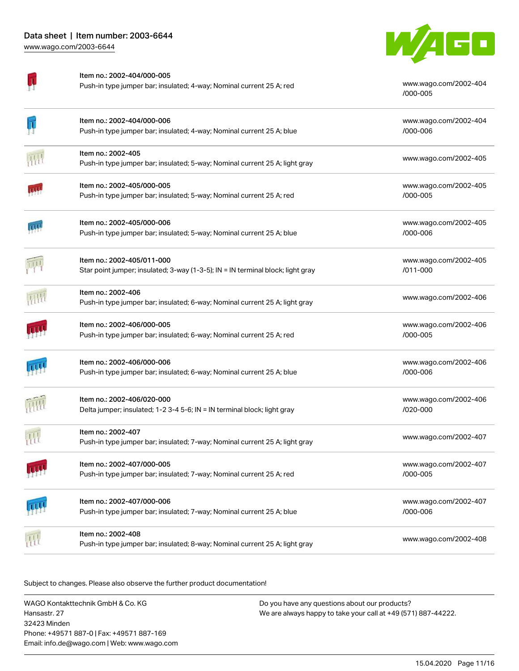

| Ţ | Item no.: 2002-404/000-005<br>Push-in type jumper bar; insulated; 4-way; Nominal current 25 A; red            | www.wago.com/2002-404<br>/000-005 |
|---|---------------------------------------------------------------------------------------------------------------|-----------------------------------|
| Ţ | Item no.: 2002-404/000-006<br>Push-in type jumper bar; insulated; 4-way; Nominal current 25 A; blue           | www.wago.com/2002-404<br>/000-006 |
| 冊 | Item no.: 2002-405<br>Push-in type jumper bar; insulated; 5-way; Nominal current 25 A; light gray             | www.wago.com/2002-405             |
|   | ltem no.: 2002-405/000-005<br>Push-in type jumper bar; insulated; 5-way; Nominal current 25 A; red            | www.wago.com/2002-405<br>/000-005 |
|   | Item no.: 2002-405/000-006<br>Push-in type jumper bar; insulated; 5-way; Nominal current 25 A; blue           | www.wago.com/2002-405<br>/000-006 |
| 河 | Item no.: 2002-405/011-000<br>Star point jumper; insulated; 3-way (1-3-5); IN = IN terminal block; light gray | www.wago.com/2002-405<br>/011-000 |
|   | Item no.: 2002-406<br>Push-in type jumper bar; insulated; 6-way; Nominal current 25 A; light gray             | www.wago.com/2002-406             |
|   | Item no.: 2002-406/000-005<br>Push-in type jumper bar; insulated; 6-way; Nominal current 25 A; red            | www.wago.com/2002-406<br>/000-005 |
|   | Item no.: 2002-406/000-006<br>Push-in type jumper bar; insulated; 6-way; Nominal current 25 A; blue           | www.wago.com/2002-406<br>/000-006 |
|   | ltem no.: 2002-406/020-000<br>Delta jumper; insulated; 1-2 3-4 5-6; IN = IN terminal block; light gray        | www.wago.com/2002-406<br>/020-000 |
| 刑 | Item no.: 2002-407<br>Push-in type jumper bar; insulated; 7-way; Nominal current 25 A; light gray             | www.wago.com/2002-407             |
|   | Item no.: 2002-407/000-005<br>Push-in type jumper bar; insulated; 7-way; Nominal current 25 A; red            | www.wago.com/2002-407<br>/000-005 |
|   | Item no.: 2002-407/000-006<br>Push-in type jumper bar; insulated; 7-way; Nominal current 25 A; blue           | www.wago.com/2002-407<br>/000-006 |
|   | Item no.: 2002-408<br>Push-in type jumper bar; insulated; 8-way; Nominal current 25 A; light gray             | www.wago.com/2002-408             |

Subject to changes. Please also observe the further product documentation!

WAGO Kontakttechnik GmbH & Co. KG Hansastr. 27 32423 Minden Phone: +49571 887-0 | Fax: +49571 887-169 Email: info.de@wago.com | Web: www.wago.com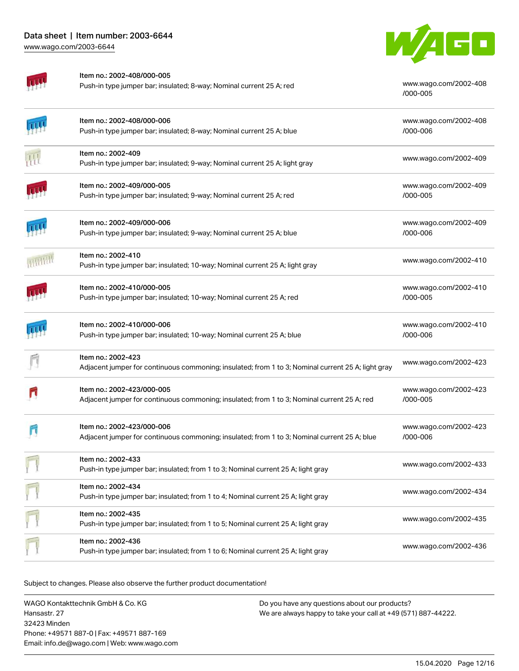

Item no.: 2002-408/000-005

Push-in type jumper bar; insulated; 8-way; Nominal current 25 A; red [www.wago.com/2002-408](http://www.wago.com/2002-408/000-005)

[/000-005](http://www.wago.com/2002-408/000-005)

|   | Item no.: 2002-408/000-006<br>Push-in type jumper bar; insulated; 8-way; Nominal current 25 A; blue                        | www.wago.com/2002-408<br>/000-006 |
|---|----------------------------------------------------------------------------------------------------------------------------|-----------------------------------|
| 孤 | Item no.: 2002-409<br>Push-in type jumper bar; insulated; 9-way; Nominal current 25 A; light gray                          | www.wago.com/2002-409             |
|   | Item no.: 2002-409/000-005<br>Push-in type jumper bar; insulated; 9-way; Nominal current 25 A; red                         | www.wago.com/2002-409<br>/000-005 |
|   | Item no.: 2002-409/000-006<br>Push-in type jumper bar; insulated; 9-way; Nominal current 25 A; blue                        | www.wago.com/2002-409<br>/000-006 |
|   | Item no.: 2002-410<br>Push-in type jumper bar; insulated; 10-way; Nominal current 25 A; light gray                         | www.wago.com/2002-410             |
|   | Item no.: 2002-410/000-005<br>Push-in type jumper bar; insulated; 10-way; Nominal current 25 A; red                        | www.wago.com/2002-410<br>/000-005 |
|   | Item no.: 2002-410/000-006<br>Push-in type jumper bar; insulated; 10-way; Nominal current 25 A; blue                       | www.wago.com/2002-410<br>/000-006 |
|   | Item no.: 2002-423<br>Adjacent jumper for continuous commoning; insulated; from 1 to 3; Nominal current 25 A; light gray   | www.wago.com/2002-423             |
|   | Item no.: 2002-423/000-005<br>Adjacent jumper for continuous commoning; insulated; from 1 to 3; Nominal current 25 A; red  | www.wago.com/2002-423<br>/000-005 |
|   | Item no.: 2002-423/000-006<br>Adjacent jumper for continuous commoning; insulated; from 1 to 3; Nominal current 25 A; blue | www.wago.com/2002-423<br>/000-006 |
|   | Item no.: 2002-433<br>Push-in type jumper bar; insulated; from 1 to 3; Nominal current 25 A; light gray                    | www.wago.com/2002-433             |
|   | Item no.: 2002-434<br>Push-in type jumper bar; insulated; from 1 to 4; Nominal current 25 A; light gray                    | www.wago.com/2002-434             |
|   | Item no.: 2002-435<br>Push-in type jumper bar; insulated; from 1 to 5; Nominal current 25 A; light gray                    | www.wago.com/2002-435             |
|   | Item no.: 2002-436<br>Push-in type jumper bar; insulated; from 1 to 6; Nominal current 25 A; light gray                    | www.wago.com/2002-436             |

Subject to changes. Please also observe the further product documentation!

WAGO Kontakttechnik GmbH & Co. KG Hansastr. 27 32423 Minden Phone: +49571 887-0 | Fax: +49571 887-169 Email: info.de@wago.com | Web: www.wago.com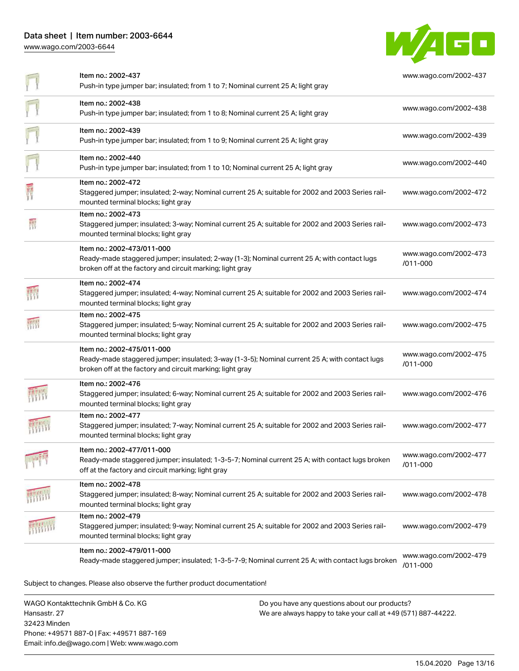## Data sheet | Item number: 2003-6644 [www.wago.com/2003-6644](http://www.wago.com/2003-6644)



| F                | Item no.: 2002-437<br>Push-in type jumper bar; insulated; from 1 to 7; Nominal current 25 A; light gray                                                                                   | www.wago.com/2002-437             |
|------------------|-------------------------------------------------------------------------------------------------------------------------------------------------------------------------------------------|-----------------------------------|
| Ī                | Item no.: 2002-438<br>Push-in type jumper bar; insulated; from 1 to 8; Nominal current 25 A; light gray                                                                                   | www.wago.com/2002-438             |
| $\overline{\Pi}$ | Item no.: 2002-439<br>Push-in type jumper bar; insulated; from 1 to 9; Nominal current 25 A; light gray                                                                                   | www.wago.com/2002-439             |
| Ī                | Item no.: 2002-440<br>Push-in type jumper bar; insulated; from 1 to 10; Nominal current 25 A; light gray                                                                                  | www.wago.com/2002-440             |
| 震                | Item no.: 2002-472<br>Staggered jumper; insulated; 2-way; Nominal current 25 A; suitable for 2002 and 2003 Series rail-<br>mounted terminal blocks; light gray                            | www.wago.com/2002-472             |
|                  | Item no.: 2002-473<br>Staggered jumper; insulated; 3-way; Nominal current 25 A; suitable for 2002 and 2003 Series rail-<br>mounted terminal blocks; light gray                            | www.wago.com/2002-473             |
|                  | Item no.: 2002-473/011-000<br>Ready-made staggered jumper; insulated; 2-way (1-3); Nominal current 25 A; with contact lugs<br>broken off at the factory and circuit marking; light gray   | www.wago.com/2002-473<br>/011-000 |
| 翻                | Item no.: 2002-474<br>Staggered jumper; insulated; 4-way; Nominal current 25 A; suitable for 2002 and 2003 Series rail-<br>mounted terminal blocks; light gray                            | www.wago.com/2002-474             |
| 桥                | Item no.: 2002-475<br>Staggered jumper; insulated; 5-way; Nominal current 25 A; suitable for 2002 and 2003 Series rail-<br>mounted terminal blocks; light gray                            | www.wago.com/2002-475             |
|                  | Item no.: 2002-475/011-000<br>Ready-made staggered jumper; insulated; 3-way (1-3-5); Nominal current 25 A; with contact lugs<br>broken off at the factory and circuit marking; light gray | www.wago.com/2002-475<br>/011-000 |
|                  | Item no.: 2002-476<br>Staggered jumper; insulated; 6-way; Nominal current 25 A; suitable for 2002 and 2003 Series rail-<br>mounted terminal blocks; light gray                            | www.wago.com/2002-476             |
|                  | Item no.: 2002-477<br>Staggered jumper; insulated; 7-way; Nominal current 25 A; suitable for 2002 and 2003 Series rail-<br>mounted terminal blocks; light gray                            | www.wago.com/2002-477             |
|                  | Item no.: 2002-477/011-000<br>Ready-made staggered jumper; insulated; 1-3-5-7; Nominal current 25 A; with contact lugs broken<br>off at the factory and circuit marking; light gray       | www.wago.com/2002-477<br>/011-000 |
|                  | Item no.: 2002-478<br>Staggered jumper; insulated; 8-way; Nominal current 25 A; suitable for 2002 and 2003 Series rail-<br>mounted terminal blocks; light gray                            | www.wago.com/2002-478             |
|                  | Item no.: 2002-479<br>Staggered jumper; insulated; 9-way; Nominal current 25 A; suitable for 2002 and 2003 Series rail-<br>mounted terminal blocks; light gray                            | www.wago.com/2002-479             |
|                  | Item no.: 2002-479/011-000<br>Ready-made staggered jumper; insulated; 1-3-5-7-9; Nominal current 25 A; with contact lugs broken                                                           | www.wago.com/2002-479<br>/011-000 |
|                  | Subject to changes. Please also observe the further product documentation!                                                                                                                |                                   |

WAGO Kontakttechnik GmbH & Co. KG Hansastr. 27 32423 Minden Phone: +49571 887-0 | Fax: +49571 887-169 Email: info.de@wago.com | Web: www.wago.com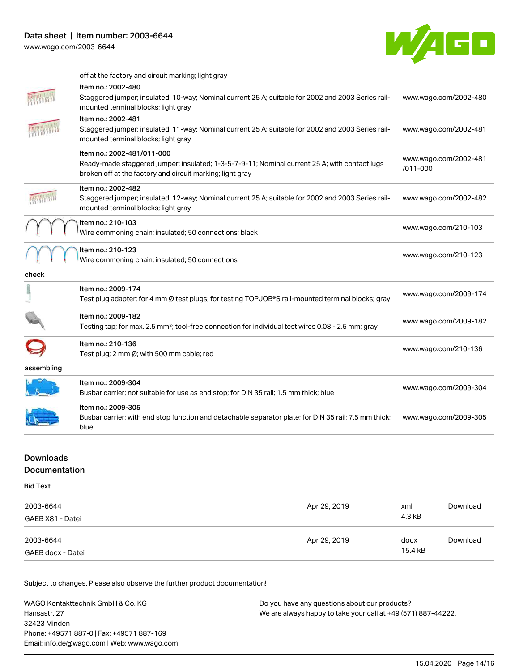

|            | off at the factory and circuit marking; light gray                                                                                                                                       |                                   |
|------------|------------------------------------------------------------------------------------------------------------------------------------------------------------------------------------------|-----------------------------------|
|            | Item no.: 2002-480<br>Staggered jumper; insulated; 10-way; Nominal current 25 A; suitable for 2002 and 2003 Series rail-<br>mounted terminal blocks; light gray                          | www.wago.com/2002-480             |
|            | Item no.: 2002-481<br>Staggered jumper; insulated; 11-way; Nominal current 25 A; suitable for 2002 and 2003 Series rail-<br>mounted terminal blocks; light gray                          | www.wago.com/2002-481             |
|            | Item no.: 2002-481/011-000<br>Ready-made staggered jumper; insulated; 1-3-5-7-9-11; Nominal current 25 A; with contact lugs<br>broken off at the factory and circuit marking; light gray | www.wago.com/2002-481<br>/011-000 |
|            | Item no.: 2002-482<br>Staggered jumper; insulated; 12-way; Nominal current 25 A; suitable for 2002 and 2003 Series rail-<br>mounted terminal blocks; light gray                          | www.wago.com/2002-482             |
|            | Item no.: 210-103<br>Wire commoning chain; insulated; 50 connections; black                                                                                                              | www.wago.com/210-103              |
|            | Item no.: 210-123<br>Wire commoning chain; insulated; 50 connections                                                                                                                     | www.wago.com/210-123              |
| check      |                                                                                                                                                                                          |                                   |
|            | Item no.: 2009-174<br>Test plug adapter; for 4 mm Ø test plugs; for testing TOPJOB®S rail-mounted terminal blocks; gray                                                                  | www.wago.com/2009-174             |
|            | Item no.: 2009-182<br>Testing tap; for max. 2.5 mm <sup>2</sup> ; tool-free connection for individual test wires 0.08 - 2.5 mm; gray                                                     | www.wago.com/2009-182             |
|            | Item no.: 210-136<br>Test plug; 2 mm Ø; with 500 mm cable; red                                                                                                                           | www.wago.com/210-136              |
|            |                                                                                                                                                                                          |                                   |
| assembling |                                                                                                                                                                                          |                                   |
|            | Item no.: 2009-304<br>Busbar carrier; not suitable for use as end stop; for DIN 35 rail; 1.5 mm thick; blue                                                                              | www.wago.com/2009-304             |
|            | Item no.: 2009-305<br>Busbar carrier; with end stop function and detachable separator plate; for DIN 35 rail; 7.5 mm thick;<br>blue                                                      | www.wago.com/2009-305             |

## Downloads

Documentation

Bid Text

| 2003-6644<br>GAEB X81 - Datei  | Apr 29, 2019 | xml<br>4.3 kB   | Download |
|--------------------------------|--------------|-----------------|----------|
| 2003-6644<br>GAEB docx - Datei | Apr 29, 2019 | docx<br>15.4 kB | Download |

Subject to changes. Please also observe the further product documentation!

WAGO Kontakttechnik GmbH & Co. KG Hansastr. 27 32423 Minden Phone: +49571 887-0 | Fax: +49571 887-169 Email: info.de@wago.com | Web: www.wago.com Do you have any questions about our products? We are always happy to take your call at +49 (571) 887-44222.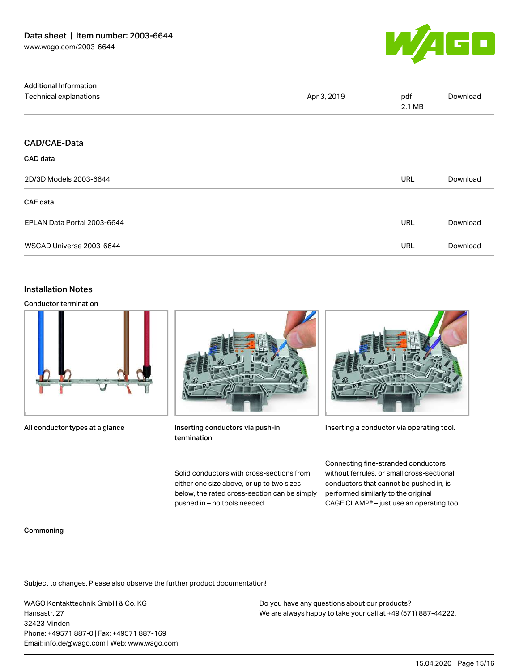

| <b>Additional Information</b> |             |               |          |
|-------------------------------|-------------|---------------|----------|
| Technical explanations        | Apr 3, 2019 | pdf<br>2.1 MB | Download |
|                               |             |               |          |
| <b>CAD/CAE-Data</b>           |             |               |          |
| CAD data                      |             |               |          |
| 2D/3D Models 2003-6644        |             | <b>URL</b>    | Download |
| <b>CAE</b> data               |             |               |          |
| EPLAN Data Portal 2003-6644   |             | URL           | Download |
| WSCAD Universe 2003-6644      |             | URL           | Download |

#### Installation Notes

Conductor termination



All conductor types at a glance



Inserting conductors via push-in termination.

Solid conductors with cross-sections from either one size above, or up to two sizes below, the rated cross-section can be simply pushed in – no tools needed.



Inserting a conductor via operating tool.

Connecting fine-stranded conductors without ferrules, or small cross-sectional conductors that cannot be pushed in, is performed similarly to the original CAGE CLAMP® – just use an operating tool.

#### Commoning

Subject to changes. Please also observe the further product documentation!

WAGO Kontakttechnik GmbH & Co. KG Hansastr. 27 32423 Minden Phone: +49571 887-0 | Fax: +49571 887-169 Email: info.de@wago.com | Web: www.wago.com